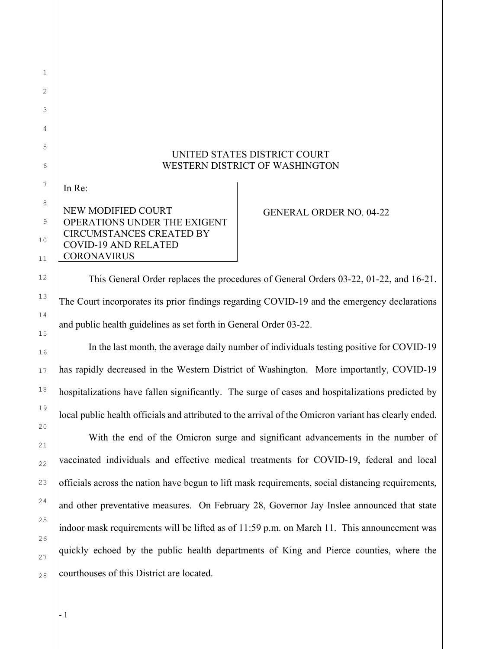## UNITED STATES DISTRICT COURT WESTERN DISTRICT OF WASHINGTON

In Re:

1

## NEW MODIFIED COURT OPERATIONS UNDER THE EXIGENT CIRCUMSTANCES CREATED BY COVID-19 AND RELATED **CORONAVIRUS**

GENERAL ORDER NO. 04-22

This General Order replaces the procedures of General Orders 03-22, 01-22, and 16-21. The Court incorporates its prior findings regarding COVID-19 and the emergency declarations and public health guidelines as set forth in General Order 03-22.

In the last month, the average daily number of individuals testing positive for COVID-19 has rapidly decreased in the Western District of Washington. More importantly, COVID-19 hospitalizations have fallen significantly. The surge of cases and hospitalizations predicted by local public health officials and attributed to the arrival of the Omicron variant has clearly ended.

With the end of the Omicron surge and significant advancements in the number of vaccinated individuals and effective medical treatments for COVID-19, federal and local officials across the nation have begun to lift mask requirements, social distancing requirements, and other preventative measures. On February 28, Governor Jay Inslee announced that state indoor mask requirements will be lifted as of 11:59 p.m. on March 11. This announcement was quickly echoed by the public health departments of King and Pierce counties, where the courthouses of this District are located.

- 1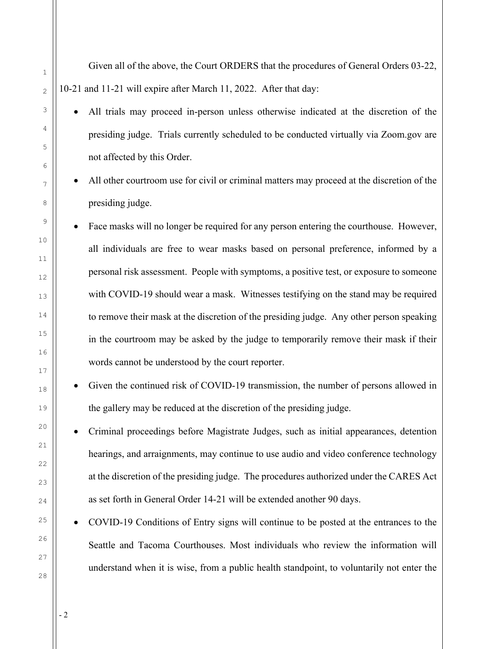Given all of the above, the Court ORDERS that the procedures of General Orders 03-22, 10-21 and 11-21 will expire after March 11, 2022. After that day:

- All trials may proceed in-person unless otherwise indicated at the discretion of the presiding judge. Trials currently scheduled to be conducted virtually via Zoom.gov are not affected by this Order.
- All other courtroom use for civil or criminal matters may proceed at the discretion of the presiding judge.
- Face masks will no longer be required for any person entering the courthouse. However, all individuals are free to wear masks based on personal preference, informed by a personal risk assessment. People with symptoms, a positive test, or exposure to someone with COVID-19 should wear a mask. Witnesses testifying on the stand may be required to remove their mask at the discretion of the presiding judge. Any other person speaking in the courtroom may be asked by the judge to temporarily remove their mask if their words cannot be understood by the court reporter.
- Given the continued risk of COVID-19 transmission, the number of persons allowed in the gallery may be reduced at the discretion of the presiding judge.
- Criminal proceedings before Magistrate Judges, such as initial appearances, detention hearings, and arraignments, may continue to use audio and video conference technology at the discretion of the presiding judge. The procedures authorized under the CARES Act as set forth in General Order 14-21 will be extended another 90 days.
- COVID-19 Conditions of Entry signs will continue to be posted at the entrances to the Seattle and Tacoma Courthouses. Most individuals who review the information will understand when it is wise, from a public health standpoint, to voluntarily not enter the